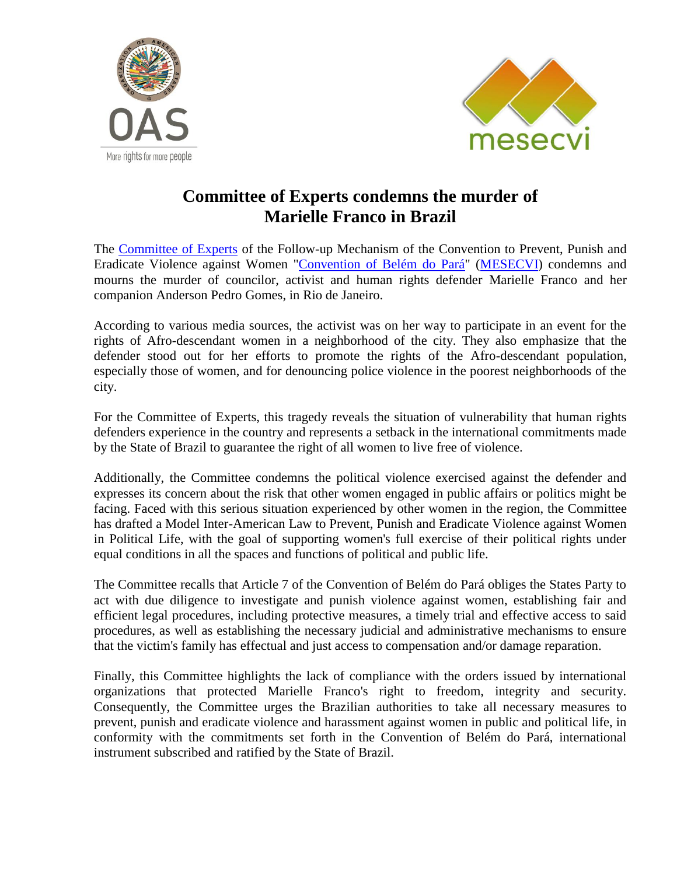



## **Committee of Experts condemns the murder of Marielle Franco in Brazil**

The [Committee of Experts](http://www.oas.org/en/mesecvi/Experts.asp) of the Follow-up Mechanism of the Convention to Prevent, Punish and Eradicate Violence against Women ["Convention of Belém do Pará"](http://www.oas.org/es/mesecvi/docs/BelemDoPara-ENGLISH.pdf) [\(MESECVI\)](http://www.oas.org/en/mesecvi/about.asp) condemns and mourns the murder of councilor, activist and human rights defender Marielle Franco and her companion Anderson Pedro Gomes, in Rio de Janeiro.

According to various media sources, the activist was on her way to participate in an event for the rights of Afro-descendant women in a neighborhood of the city. They also emphasize that the defender stood out for her efforts to promote the rights of the Afro-descendant population, especially those of women, and for denouncing police violence in the poorest neighborhoods of the city.

For the Committee of Experts, this tragedy reveals the situation of vulnerability that human rights defenders experience in the country and represents a setback in the international commitments made by the State of Brazil to guarantee the right of all women to live free of violence.

Additionally, the Committee condemns the political violence exercised against the defender and expresses its concern about the risk that other women engaged in public affairs or politics might be facing. Faced with this serious situation experienced by other women in the region, the Committee has drafted a Model Inter-American Law to Prevent, Punish and Eradicate Violence against Women in Political Life, with the goal of supporting women's full exercise of their political rights under equal conditions in all the spaces and functions of political and public life.

The Committee recalls that Article 7 of the Convention of Belém do Pará obliges the States Party to act with due diligence to investigate and punish violence against women, establishing fair and efficient legal procedures, including protective measures, a timely trial and effective access to said procedures, as well as establishing the necessary judicial and administrative mechanisms to ensure that the victim's family has effectual and just access to compensation and/or damage reparation.

Finally, this Committee highlights the lack of compliance with the orders issued by international organizations that protected Marielle Franco's right to freedom, integrity and security. Consequently, the Committee urges the Brazilian authorities to take all necessary measures to prevent, punish and eradicate violence and harassment against women in public and political life, in conformity with the commitments set forth in the Convention of Belém do Pará, international instrument subscribed and ratified by the State of Brazil.